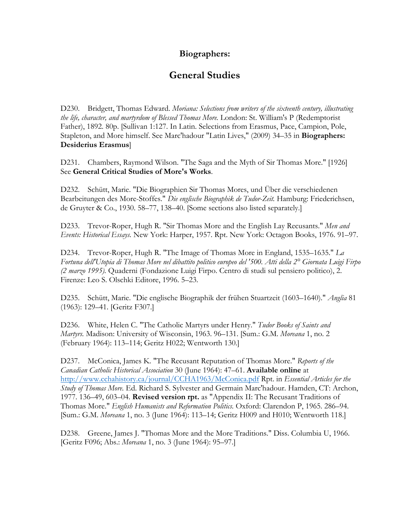## **Biographers:**

## **General Studies**

D230. Bridgett, Thomas Edward. *Moriana: Selections from writers of the sixteenth century, illustrating the life, character, and martyrdom of Blessed Thomas More.* London: St. William's P (Redemptorist Father), 1892. 80p. [Sullivan 1:127. In Latin. Selections from Erasmus, Pace, Campion, Pole, Stapleton, and More himself. See Marc'hadour "Latin Lives," (2009) 34–35 in **Biographers: Desiderius Erasmus**]

D231. Chambers, Raymond Wilson. "The Saga and the Myth of Sir Thomas More." [1926] See **General Critical Studies of More's Works**.

D232. Schütt, Marie. "Die Biographien Sir Thomas Mores, und Über die verschiedenen Bearbeitungen des More-Stoffes." *Die englische Biographik de Tudor-Zeit.* Hamburg: Friederichsen, de Gruyter & Co., 1930. 58–77, 138–40. [Some sections also listed separately.]

D233. Trevor-Roper, Hugh R. "Sir Thomas More and the English Lay Recusants." *Men and Events: Historical Essays.* New York: Harper, 1957. Rpt. New York: Octagon Books, 1976. 91–97.

D234. Trevor-Roper, Hugh R. "The Image of Thomas More in England, 1535–1635." *La Fortuna dell'Utopia di Thomas More nel dibattito politico europeo del '500. Atti della 2° Giornata Luigi Firpo (2 marzo 1995).* Quaderni (Fondazione Luigi Firpo. Centro di studi sul pensiero politico), 2. Firenze: Leo S. Olschki Editore, 1996. 5–23.

D235. Schütt, Marie. "Die englische Biographik der frühen Stuartzeit (1603–1640)." *Anglia* 81 (1963): 129–41. [Geritz F307.]

D236. White, Helen C. "The Catholic Martyrs under Henry." *Tudor Books of Saints and Martyrs.* Madison: University of Wisconsin, 1963. 96–131. [Sum.: G.M. *Moreana* 1, no. 2 (February 1964): 113–114; Geritz H022; Wentworth 130.]

D237. McConica, James K. "The Recusant Reputation of Thomas More." *Reports of the Canadian Catholic Historical Association* 30 (June 1964): 47–61. **Available online** at http://www.cchahistory.ca/journal/CCHA1963/McConica.pdf Rpt. in *Essential Articles for the Study of Thomas More.* Ed. Richard S. Sylvester and Germain Marc'hadour. Hamden, CT: Archon, 1977. 136–49, 603–04. **Revised version rpt.** as "Appendix II: The Recusant Traditions of Thomas More." *English Humanists and Reformation Politics.* Oxford: Clarendon P, 1965. 286–94. [Sum.: G.M. *Moreana* 1, no. 3 (June 1964): 113–14; Geritz H009 and H010; Wentworth 118.]

D238. Greene, James J. "Thomas More and the More Traditions." Diss. Columbia U, 1966. [Geritz F096; Abs.: *Moreana* 1, no. 3 (June 1964): 95–97.]